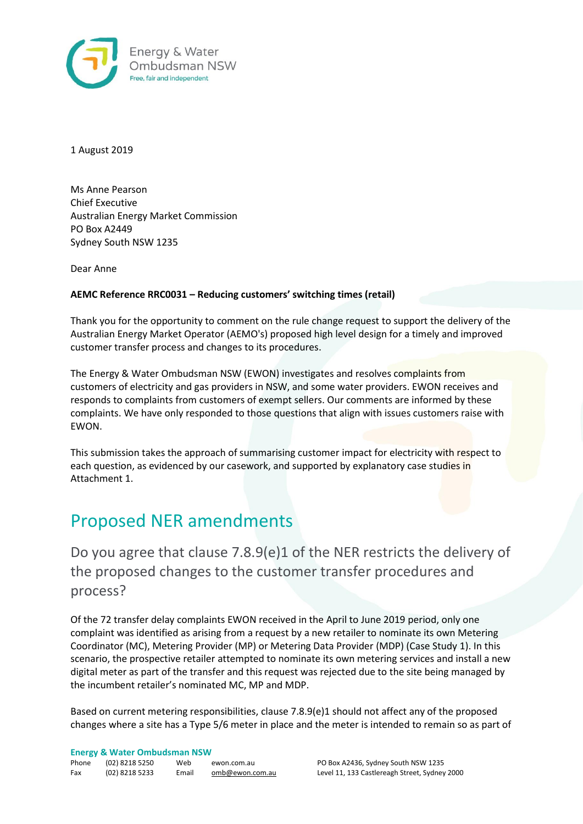

1 August 2019

Ms Anne Pearson Chief Executive Australian Energy Market Commission PO Box A2449 Sydney South NSW 1235

Dear Anne

### **AEMC Reference RRC0031 – Reducing customers' switching times (retail)**

Thank you for the opportunity to comment on the rule change request to support the delivery of the Australian Energy Market Operator (AEMO's) proposed high level design for a timely and improved customer transfer process and changes to its procedures.

The Energy & Water Ombudsman NSW (EWON) investigates and resolves complaints from customers of electricity and gas providers in NSW, and some water providers. EWON receives and responds to complaints from customers of exempt sellers. Our comments are informed by these complaints. We have only responded to those questions that align with issues customers raise with EWON.

This submission takes the approach of summarising customer impact for electricity with respect to each question, as evidenced by our casework, and supported by explanatory case studies in Attachment 1.

## Proposed NER amendments

Do you agree that clause 7.8.9(e)1 of the NER restricts the delivery of the proposed changes to the customer transfer procedures and process?

Of the 72 transfer delay complaints EWON received in the April to June 2019 period, only one complaint was identified as arising from a request by a new retailer to nominate its own Metering Coordinator (MC), Metering Provider (MP) or Metering Data Provider (MDP) (Case Study 1). In this scenario, the prospective retailer attempted to nominate its own metering services and install a new digital meter as part of the transfer and this request was rejected due to the site being managed by the incumbent retailer's nominated MC, MP and MDP.

Based on current metering responsibilities, clause 7.8.9(e)1 should not affect any of the proposed changes where a site has a Type 5/6 meter in place and the meter is intended to remain so as part of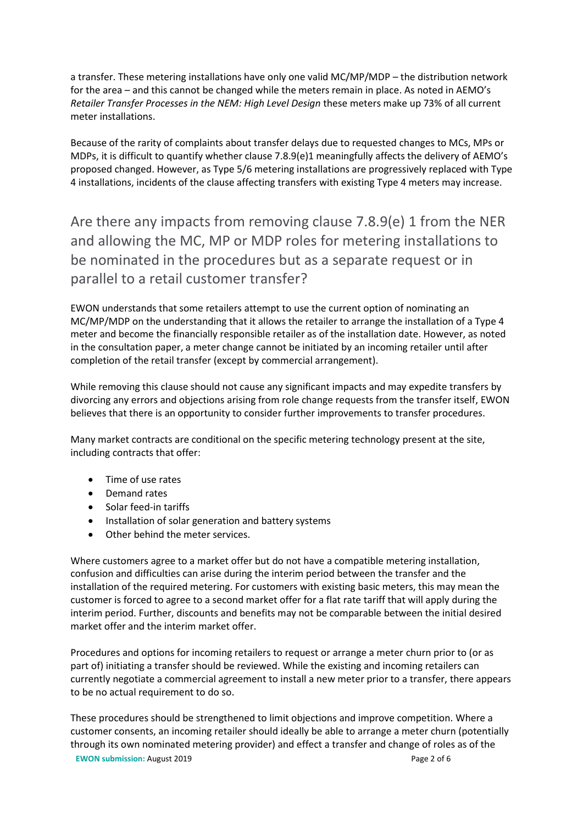a transfer. These metering installations have only one valid MC/MP/MDP – the distribution network for the area – and this cannot be changed while the meters remain in place. As noted in AEMO's *Retailer Transfer Processes in the NEM: High Level Design* these meters make up 73% of all current meter installations.

Because of the rarity of complaints about transfer delays due to requested changes to MCs, MPs or MDPs, it is difficult to quantify whether clause 7.8.9(e)1 meaningfully affects the delivery of AEMO's proposed changed. However, as Type 5/6 metering installations are progressively replaced with Type 4 installations, incidents of the clause affecting transfers with existing Type 4 meters may increase.

Are there any impacts from removing clause 7.8.9(e) 1 from the NER and allowing the MC, MP or MDP roles for metering installations to be nominated in the procedures but as a separate request or in parallel to a retail customer transfer?

EWON understands that some retailers attempt to use the current option of nominating an MC/MP/MDP on the understanding that it allows the retailer to arrange the installation of a Type 4 meter and become the financially responsible retailer as of the installation date. However, as noted in the consultation paper, a meter change cannot be initiated by an incoming retailer until after completion of the retail transfer (except by commercial arrangement).

While removing this clause should not cause any significant impacts and may expedite transfers by divorcing any errors and objections arising from role change requests from the transfer itself, EWON believes that there is an opportunity to consider further improvements to transfer procedures.

Many market contracts are conditional on the specific metering technology present at the site, including contracts that offer:

- Time of use rates
- Demand rates
- Solar feed-in tariffs
- Installation of solar generation and battery systems
- Other behind the meter services.

Where customers agree to a market offer but do not have a compatible metering installation, confusion and difficulties can arise during the interim period between the transfer and the installation of the required metering. For customers with existing basic meters, this may mean the customer is forced to agree to a second market offer for a flat rate tariff that will apply during the interim period. Further, discounts and benefits may not be comparable between the initial desired market offer and the interim market offer.

Procedures and options for incoming retailers to request or arrange a meter churn prior to (or as part of) initiating a transfer should be reviewed. While the existing and incoming retailers can currently negotiate a commercial agreement to install a new meter prior to a transfer, there appears to be no actual requirement to do so.

**EWON submission:** August 2019 **Page 2 of 6** These procedures should be strengthened to limit objections and improve competition. Where a customer consents, an incoming retailer should ideally be able to arrange a meter churn (potentially through its own nominated metering provider) and effect a transfer and change of roles as of the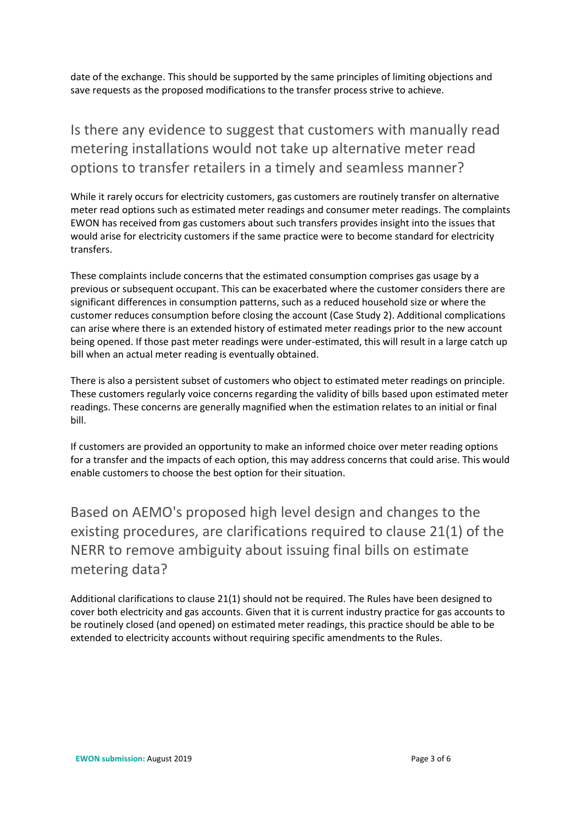date of the exchange. This should be supported by the same principles of limiting objections and save requests as the proposed modifications to the transfer process strive to achieve.

## Is there any evidence to suggest that customers with manually read metering installations would not take up alternative meter read options to transfer retailers in a timely and seamless manner?

While it rarely occurs for electricity customers, gas customers are routinely transfer on alternative meter read options such as estimated meter readings and consumer meter readings. The complaints EWON has received from gas customers about such transfers provides insight into the issues that would arise for electricity customers if the same practice were to become standard for electricity transfers.

These complaints include concerns that the estimated consumption comprises gas usage by a previous or subsequent occupant. This can be exacerbated where the customer considers there are significant differences in consumption patterns, such as a reduced household size or where the customer reduces consumption before closing the account (Case Study 2). Additional complications can arise where there is an extended history of estimated meter readings prior to the new account being opened. If those past meter readings were under-estimated, this will result in a large catch up bill when an actual meter reading is eventually obtained.

There is also a persistent subset of customers who object to estimated meter readings on principle. These customers regularly voice concerns regarding the validity of bills based upon estimated meter readings. These concerns are generally magnified when the estimation relates to an initial or final bill.

If customers are provided an opportunity to make an informed choice over meter reading options for a transfer and the impacts of each option, this may address concerns that could arise. This would enable customers to choose the best option for their situation.

Based on AEMO's proposed high level design and changes to the existing procedures, are clarifications required to clause 21(1) of the NERR to remove ambiguity about issuing final bills on estimate metering data?

Additional clarifications to clause 21(1) should not be required. The Rules have been designed to cover both electricity and gas accounts. Given that it is current industry practice for gas accounts to be routinely closed (and opened) on estimated meter readings, this practice should be able to be extended to electricity accounts without requiring specific amendments to the Rules.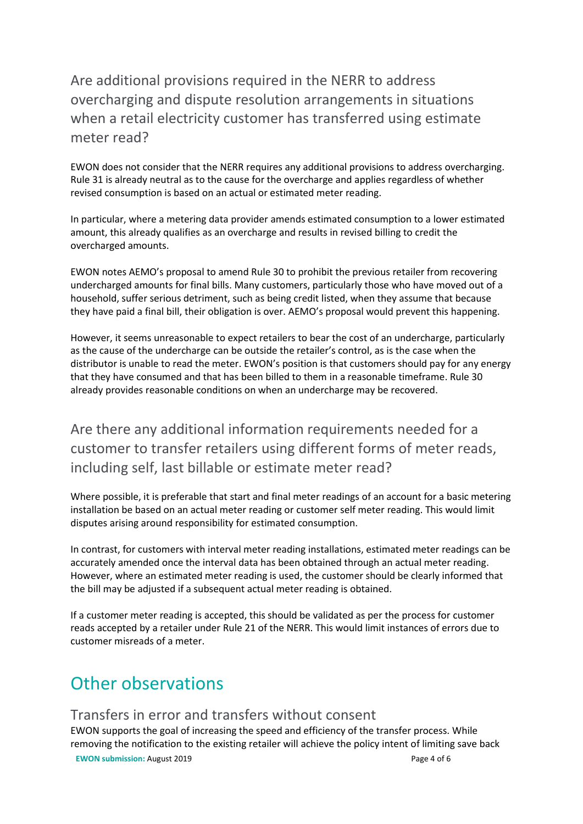## Are additional provisions required in the NERR to address overcharging and dispute resolution arrangements in situations when a retail electricity customer has transferred using estimate meter read?

EWON does not consider that the NERR requires any additional provisions to address overcharging. Rule 31 is already neutral as to the cause for the overcharge and applies regardless of whether revised consumption is based on an actual or estimated meter reading.

In particular, where a metering data provider amends estimated consumption to a lower estimated amount, this already qualifies as an overcharge and results in revised billing to credit the overcharged amounts.

EWON notes AEMO's proposal to amend Rule 30 to prohibit the previous retailer from recovering undercharged amounts for final bills. Many customers, particularly those who have moved out of a household, suffer serious detriment, such as being credit listed, when they assume that because they have paid a final bill, their obligation is over. AEMO's proposal would prevent this happening.

However, it seems unreasonable to expect retailers to bear the cost of an undercharge, particularly as the cause of the undercharge can be outside the retailer's control, as is the case when the distributor is unable to read the meter. EWON's position is that customers should pay for any energy that they have consumed and that has been billed to them in a reasonable timeframe. Rule 30 already provides reasonable conditions on when an undercharge may be recovered.

Are there any additional information requirements needed for a customer to transfer retailers using different forms of meter reads, including self, last billable or estimate meter read?

Where possible, it is preferable that start and final meter readings of an account for a basic metering installation be based on an actual meter reading or customer self meter reading. This would limit disputes arising around responsibility for estimated consumption.

In contrast, for customers with interval meter reading installations, estimated meter readings can be accurately amended once the interval data has been obtained through an actual meter reading. However, where an estimated meter reading is used, the customer should be clearly informed that the bill may be adjusted if a subsequent actual meter reading is obtained.

If a customer meter reading is accepted, this should be validated as per the process for customer reads accepted by a retailer under Rule 21 of the NERR. This would limit instances of errors due to customer misreads of a meter.

# Other observations

### Transfers in error and transfers without consent

**EWON submission:** August 2019 Page 4 of 6 EWON supports the goal of increasing the speed and efficiency of the transfer process. While removing the notification to the existing retailer will achieve the policy intent of limiting save back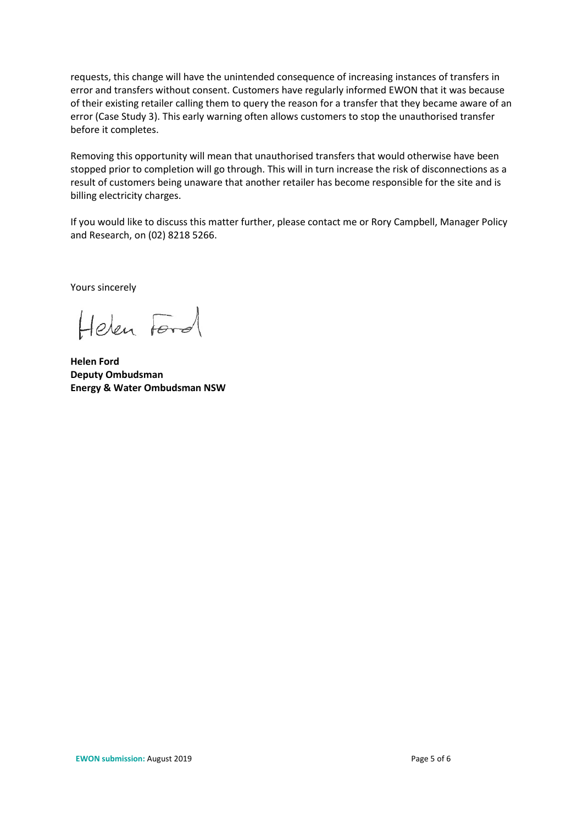requests, this change will have the unintended consequence of increasing instances of transfers in error and transfers without consent. Customers have regularly informed EWON that it was because of their existing retailer calling them to query the reason for a transfer that they became aware of an error (Case Study 3). This early warning often allows customers to stop the unauthorised transfer before it completes.

Removing this opportunity will mean that unauthorised transfers that would otherwise have been stopped prior to completion will go through. This will in turn increase the risk of disconnections as a result of customers being unaware that another retailer has become responsible for the site and is billing electricity charges.

If you would like to discuss this matter further, please contact me or Rory Campbell, Manager Policy and Research, on (02) 8218 5266.

Yours sincerely

Helen Ford

**Helen Ford Deputy Ombudsman Energy & Water Ombudsman NSW**